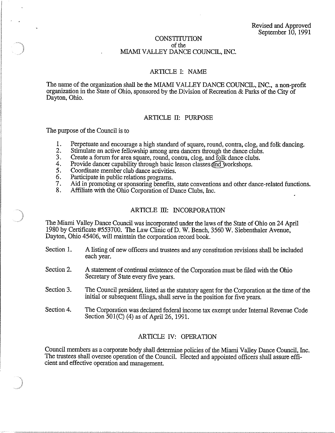### **CONSTITUTION** of the MIAMI VALLEY DANCE COUNCIL, INC.

### ARTICLE I: NAME

The name of the organization shall be the MIAMI VALLEY DANCE COUNCIL, INC., a non-profit organization in the State of Ohio, sponsored by the Division of Recreation & Parks of the City of Dayton, Ohio.

## ARTICLE IT: PURPOSE

The purpose of the Council is to

- 1. Perpetuate and encourage a high standard of square, round, contra, clog, and folk dancing.<br>2. Stimulate an active fellowship among area dancers through the dance clubs.
- 2. Stimulate an active fellowship among area dancers through the dance clubs.<br>3. Create a forum for area square, round, contra, clog, and folk dance clubs.
- 3. Create a forum for area square, round, contra, clog, and folk dance clubs.<br>4. Provide dancer capability through basic lesson classes and workshops.
- 4. Provide dancer capability through basic lesson classes and workshops.<br>5. Coordinate member club dance activities.
- 5. Coordinate member club dance activities.
- 6. Participate in public relations programs.<br>7. Aid in promoting or sponsoring benefits
- 7. Aid in promoting or sponsoring benefits, state conventions and other dance-related functions.<br>8. Affiliate with the Ohio Cornoration of Dance Clubs. Inc.
- Affiliate with the Ohio Corporation of Dance Clubs, Inc.

### ARTICLE III: INCORPORATION

The Miami Valley Dance Council was incorporated under the laws of the State of Ohio on 24 April 1980 by Certificate #553700. The Law Clinic ofD. W. Bench, 3560 W. Siebenthaler Avenue, Dayton, Ohio 45406, will maintain the corporation record book.

- Section 1. A listing of new officers and trustees and any constitntion revisions shall be included each year.
- Section 2. A statement of continual existence of the Corporation must be filed with the Ohio Secretary of State every five years.
- Section 3. The Council president, listed as the statutory agent for the Corporation at the time of the initial or subsequent filings, shall serve in the position for five years.
- Section 4. The Corporation was declared federal income tax exempt under Internal Revenue Code Section 501(C) (4) as of April 26, 1991.

## ARTICLE IV: OPERATION

Council members as a corporate body shall determine policies of the Miami Valley Dance Council, Inc. The trustees shall oversee operation of the Council. Elected and appointed officers shall assure efficient and effective operation and management.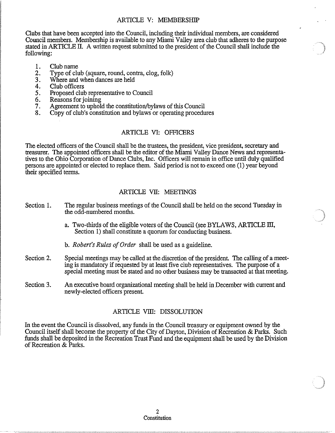## ARTICLE V: MEMBERSHIP

Clubs that have been accepted into the Council, including their individual members, are considered Council members. Membership is available to any Miami Valley area club that adheres to the purpose stated in ARTICLE II. A written request submitted to the president of the Council shall include the following:

- 1. Club name
- 2. Type of club (square, round, contra, clog, folk)<br>3. Where and when dances are held
- Where and when dances are held
- 4. Club officers
- 5. Proposed club representative to Council<br>6. Reasons for joining
- 6. Reasons for joining<br>7. Agreement to uphol
- 7. Agreement to uphold the constitution/bylaws of this Council 8. Conv of club's constitution and bylaws or operating procedu
- Copy of club's constitution and bylaws or operating procedures

## ARTICLE VI: OFFICERS

The elected officers of the Council shall be the trustees, the president, vice president, secretary and treasurer. The appointed officers shall be the editor of the Miami Valley Dance News and representatives to the Ohio Corporation of Dance Clubs, Inc. Officers will remain in office until duly qualified persons are appointed or elected to replace them. Said period is not to exceed one (1) year beyond their specified terms.

## ARTICLE VII: MEETINGS

- Section 1. The regular business meetings of the Council shall be held on the second Tuesday in the odd-numbered months.
	- a. Two-thirds of the eligible voters of the Council (see BYLAWS, ARTICLE III, Section 1) shall constitute a quorum for conducting business.
	- b. *Robert's Rules of Order* shall be used as a guideline.
- Section 2. Special meetings may be called at the discretion of the president. The calling of a meeting is mandatory if requested by at least five club representatives. The purpose of a special meeting must be stated and no other business may be transacted at that meeting.
- Section 3. An executive board organizational meeting shall be held in December with current and newly-elected officers present

## ARTICLE VIII: DISSOLUTION

In the event the Council is dissolved, any funds in the Council treasury or equipment owned by the Council itself shall become the property of the City of Dayton, Division of Recreation & Parks. Such funds shall be deposited in the Recreation Trust Fund and the equipment shall be used by the Division of Recreation & Parks.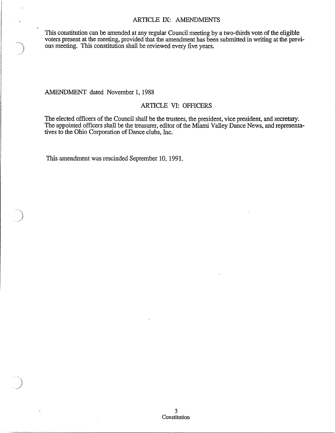### ARTICLE IX: AMENDMENTS

This constitution can be amended at any regular Council meeting by a two-thirds vote of the eligible voters present at the meeting, provided that the amendment has been submitted in writing at the previous meeting. This constitution shall be reviewed every five years.

AMENDMENT dated November 1, 1988

## ARTICLE VI: OFFICERS

The elected officers of the Council shall be the trustees, the president, vice president, and secretary. The appointed officers shall be the treasurer, editor of the Miami Valley Dance News, and representatives to the Ohio Corporation of Dance clubs, Inc.

This amendment was rescinded September 10, 1991.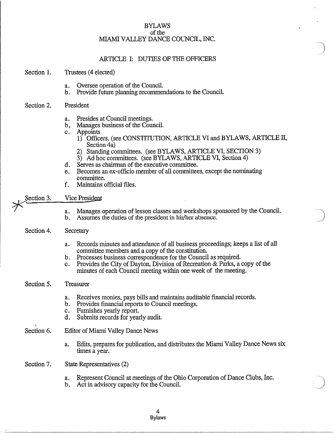### BYLAWS of the MIAMI VALLEY DANCE COUNCIL, INC.

## ARTICLE I: DUTIES OF THE OFFICERS

#### Section 1. Trustees (4 elected)

- a. Oversee operation of the Council.
- b. Provide future planning recommendations to the Council.

#### Section 2. President

- a. Presides at Council meetings.
- b, Manages business of the Council.
- c. Appoints
	- 1) Officers. (see CONSTITUTION, ARTICLE VI and BYLAWS, ARTICLE **II,**  Section 4a)
	- 2) Standing committees. (see BYLAWS, ARTICLE VI, SECTION 3)
	- 3) Ad hoc committees. (see BYLAWS, ARTICLE VI, Section 4)
- d. Serves as chairman of the executive committee.
- e. Becomes an ex-officio member of all committees, except the nominating committee.
- f. Maintains official files.
- Section 3. Vice President
	- a. Manages operation of lesson classes and workshops sponsored by the Council.
	- b. Assumes the duties of the president in his/her absence.

#### Section 4. Secretary

- a. Records minutes and attendance of all business proceedings; keeps a list of all committee members and a copy of the constitution.
- b. Processes business correspondence for the Council as required.
- c. Provides the City of Dayton, Division of Recreation & Parks, a copy of the minutes of each Council meeting within one week of the meeting.

#### Section 5. Treasurer

- a. Receives monies, pays bills and maintains auditable financial records.
- b. Provides financial reports to Council meetings.
- c. Furnishes yearly report.
- d. Submits records for yearly audit.
- Section 6. Editor of Miami Valley Dance News
	- a. Edits, prepares for publication, and distributes the Miami Valley Dance News six times a year.
- Section 7. State Representatives (2)
	- a. Represent Council at meetings of the Ohio Corporation of Dance Clubs, Inc.
	- b. Act in advisory capacity for the Council.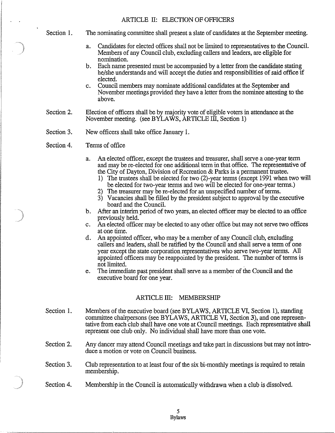Section 1.

- The nominating committee shall present a slate of candidates at the September meeting.
	- a. Candidates for elected offices shall not be limited to representatives to the Council. Members of any Council club, excluding callers and leaders, are eligible for nomination.
	- b. Each name presented must be accompanied by a letter from the candidate stating he/she understands and will accept the duties and responsibilities of said office if elected.
	- c. Council members may nominate additional candidates at the September and November meetings provided they have a letter from the nominee attesting to the above.
- Section 2. Election of officers shall be by majority vote of eligible voters in attendance at the November meeting. (see BYLAWS, ARTICLE III, Section 1)
- Section 3. New officers shall take office January 1.
- Section 4. Terms of office
	- a. An elected officer, except the trustees and treasurer, shall serve a one-year term and may be re-elected for one additional term in that office. The representative of the City of Dayton, Division of Recreation & Parks is a permanent trustee.
		- 1) The trustees shall be elected for two (2)-year terms (except 1991 when two will be elected for two-year terms and two will be elected for one-year terms.)
		- 2) The treasurer may be re-elected for an unspecified number of terms.
		- 3) Vacancies shall be filled by the president subject to approval by the executive board and the Council.
	- b. After an interim period of two years, an elected officer may be elected to an office previously held.
	- c. An elected officer may be elected to any other office but may not serve two offices atone time.
	- d. An appointed officer, who may be a member of any Council club, excluding callers and leaders, shall be ratified by the Council and shall serve a term of one year except the state corporation representatives who serve two-year terms. All appointed officers may be reappointed by the president. The number of terms is not limited.
	- e. The immediate past president shall serve as a member of the Council and the executive board for one year.

# ARTICLE III: MEMBERSHIP

- Section 1. Members of the executive board (see BYLAWS, ARTICLE VI, Section 1), standing committee chairpersons (see BYLAWS, ARTICLE VI, Section 3), and one representative from each club shall have one vote at Council meetings. Each representative shall represent one club only. No individual shall have more than one vote.
- Section 2. Any dancer may attend Council meetings and take part in discussions but may not introduce a motion or vote on Council business.
- Section 3. Club representation to at least four of the six bi-monthly meetings is required to retain membership.
- Section 4. Membership in the Council is automatically withdrawn when a club is dissolved.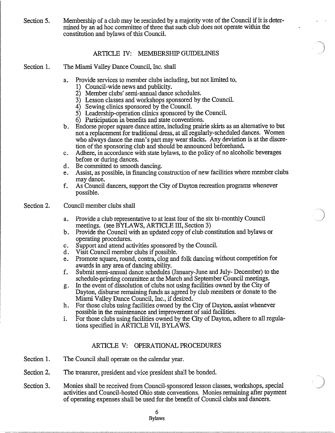Section 5. Membership of a club may be rescinded by a majority vote of the Council if it is determined by an ad hoc committee of three that such club does not operate within the constitution and bylaws of this Council.

## ARTICLE IV: MEMBERSHIP GUIDELlNES

- Section 1. The Miami Valley Dance Council, Inc. shall
	- a. Provide services to member clubs including, but not limited to,
		- 1) Council-wide news and publicity.
		- 2) Member clubs' semi-annual dance schedules.
		- 3) Lesson classes and workshops sponsored by the Council.
		- 4) Sewing clinics sponsored by the Council.
		- 5) Leadership-operation clinics sponsored by the Council.
		- 6) Participation in benefits and state conventions.
	- b. Endorse proper square dance attire, including prairie skirts as an alternative to but not a replacement for traditional dress, at all regularly-scheduled dances. Women who always dance the man's part may wear slacks. Any deviation is at the discretion of the sponsoring club and should be announced beforehand.
	- c. Adhere, in accordance with state bylaws, to the policy of no alcoholic beverages before or during dances.
	- d. Be committed to smooth dancing.
	- e. Assist, as possible, in financing construction of new facilities where member clubs may dance.
	- f. As Council dancers, support the City of Dayton recreation programs whenever possible.
- Section 2. Council member clubs shall
	- a. Provide a club representative to at least four of the six bi-monthly Council meetings. (see BYLAWS, ARTICLE III, Section 3)
	- b. Provide the Council with an updated copy of club constitution and bylaws or operating procedures.
	- c. Support and attend activities sponsored by the Council.
	- d. Visit Council member clubs if possible.
	- e. Promote square, round, contra, clog and folk dancing without competition for awards in any area of dancing ability.
	- f. Submit semi-aunual dance schedules (January-June and July- December) to the schedule-printing committee at the March and September Council meetings.
	- g. In the event of dissolution of clubs not using facilities owned by the City of Dayton, disburse remaining funds as agreed by club members or donate to the Miami Valley Dance Council, Inc., if desired.
	- h. For those clubs using facilities owned by the City of Dayton, assist whenever possible in the maintenance and improvement of said facilities.
	- i. For those clubs using facilities owned by the City of Dayton, adhere to all regulations specified in ARTICLE VII, BYLAWS.

## ARTICLE V: OPERATIONAL PROCEDURES

- Section 1. The Council shall operate on the calendar year.
- Section 2. The treasurer, president and vice president shall be bonded.
- Section 3. Monies shall be received from Council-sponsored lesson classes, workshops, special activities and Council-hosted Ohio state conventions. Monies remaining after payment of operating expenses shall be used for the benefit of Council clubs and dancers.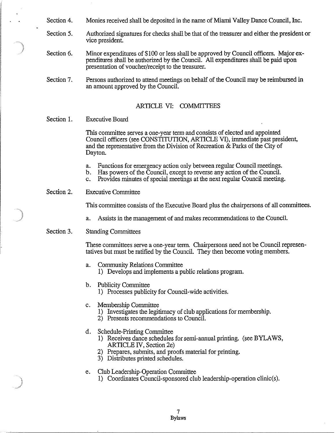Section 4. Monies received shall be deposited in the name of Miami Valley Dance Council, Inc.

- Section 5. Authorized signatures for checks shall be that of the treasurer and either the president or vice president.
- Section 6. Minor expenditures of \$100 or less shall be approved by Council officers. Major expenditures shall be authorized by the Council. All expenditures shall be paid upon presentation of voucher/receipt to the treasurer.
- Section 7. Persons authorized to attend meetings on behalf of the Council may be reimbursed in an amount approved by the Council.

### ARTICLE VI: COMMITTEES

#### Section 1. Executive Board

This committee serves a one-year term and consists of elected and appointed Council officers (see CONSTITUTION, ARTICLE VI), immediate past president, and the representative from the Division of Recreation & Parks of the City of Dayton.

- a. Functions for emergency action only between regular Council meetings.
- b. Has powers of the Council, except to reverse any action of the Council.
- c. Provides minutes of special meetings at the next regular Council meeting.

#### Section 2. Executive Committee

This committee consists of the Executive Board plus the chairpersons of all committees.

a. Assists in the management of and makes recommendations to the Council.

#### Section 3. Standing Committees

These committees serve a one-year term. Chairpersons need not be Council representatives but must be ratified by the Council. They then become voting members.

- a. Community Relations Committee
	- 1) Develops and implements a public relations program.
- b. Publicity Committee
	- 1) Processes publicity for Council-wide activities.
- c. Membership Committee
	- 1) Investigates the legitimacy of club applications for membership.
	- 2) Presents recommendations to Council.
- d. Schedule-Printing Committee
	- 1) Receives dance schedules for semi-aunual printing. (see BYLAWS, ARTICLE IV, Section 2e)
	- 2) Prepares, submits, and proofs material for printing.
	- 3) Distributes printed schedules.

### e. Club Leadership-Operation Committee

1) Coordinates Council-sponsored club leadership-operation clinic(s).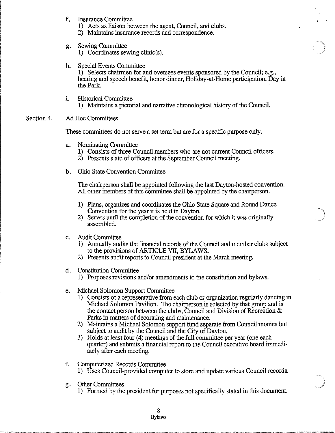- f. Insurance Committee
	- 1) Acts as liaison between the agent, Council, and clubs.
	- 2) Maintains insurance records and correspondence.
- g. Sewing Committee
	- 1) Coordinates sewing clinic(s).
- h. Special Events Committee

1) Selects chairmen for and oversees events sponsored by the Council; e.g., hearing and speech benefit, honor dinner, Holiday-at-Home participation, Day in the Park.

i. Historical Committee 1) Maintains a pictorial and narrative chronological history of tbe Council.

#### Section 4. Ad Hoc Committees

These committees do not serve a set term but are for a specific purpose only.

- a. Nominating Committee
	- 1) Consists of three Council members who are not current Council officers.
	- 2) Presents slate of officers at the September Council meeting.
- b. Ohio State Convention Committee

The chairperson shall be appointed following the last Dayton-hosted convention. All other members of this committee shall be appointed by the chairperson.

- 1) Plans, organizes and coordinates the Ohio State Square and Round Dance Convention for the year it is held in Dayton.
- 2) Serves until the completion of the convention for which it was originally assembled.
- c. Audit Committee
	- 1) Annually audits the financial records of the Council and member clubs subject to tbe provisions of ARTICLE VII, BYLAWS.
	- 2) Presents audit reports to Council president at the March meeting.
- d. Constitution Committee
	- 1) Proposes revisions and/or amendments to the constitution and bylaws.
- e. Michael Solomon Support Committee
	- 1) Consists of a representative from each club or organization regularly dancing in Michael Solomon Pavilion. The chairperson is selected by that group and is the contact person between the clubs, Council and Division of Recreation  $\&$ Parks in matters of decorating and maintenance.
	- 2) Maintains a Michael Solomon support fund separate from Council monies but subject to audit by the Council and the City of Dayton.
	- 3) Holds at least four (4) meetings of the full committee per year (one each quarter) and submits a financial report to the Council executive board immediately after each meeting.
- f. Computerized Records Committee
	- 1) Uses Council-provided computer to store and update various Council records.
- g. Otber Committees
	- 1) Formed by tbe president for purposes not specifically stated in tbis document.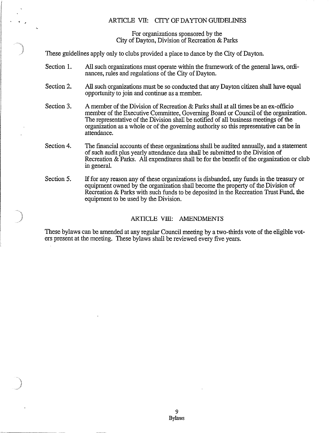## ARTICLE VII: CITY OF DAYTON GUIDELINES

For organizations sponsored by the City of Dayton, Division of Recreation & Parks

These guidelines apply only to clubs provided a place to dance by the City of Dayton.

- Section 1. All such organizations must operate within the framework of the general laws, ordinances, rules and regulations of the City of Dayton.
- Section 2. All such organizations must be so conducted that any Dayton citizen shall have equal opportuuity to join and continue as a member.
- Section 3. A member of the Division of Recreation & Parks shall at all times be an ex-officio member of the Executive Committee, Governing Board or Council of the organization. The representative of the Division shall be notified of all business meetings of the organization as a whole or of the goveruing authority so this representative can be in attendance.
- Section 4. The financial accounts of these organizations shall be audited annually, and a statement of such audit plus yearly attendance data shall be submitted to the Division of Recreation & Parks. All expenditures shall be for the benefit of the organization or club in general.
- Section 5. If for any reason any of these organizations is disbanded, any funds in the treasury or equipment owned by the organization shall become the property of the Division of Recreation & Parks with such funds to be deposited in the Recreation Trust Fund, the equipment to be used by the Division.

## ARTICLE VIII: AMENDMENTS

These bylaws can be amended at any regular Council meeting by a two-thirds vote of the eligible voters present at the meeting. These bylaws shall be reviewed every five years.